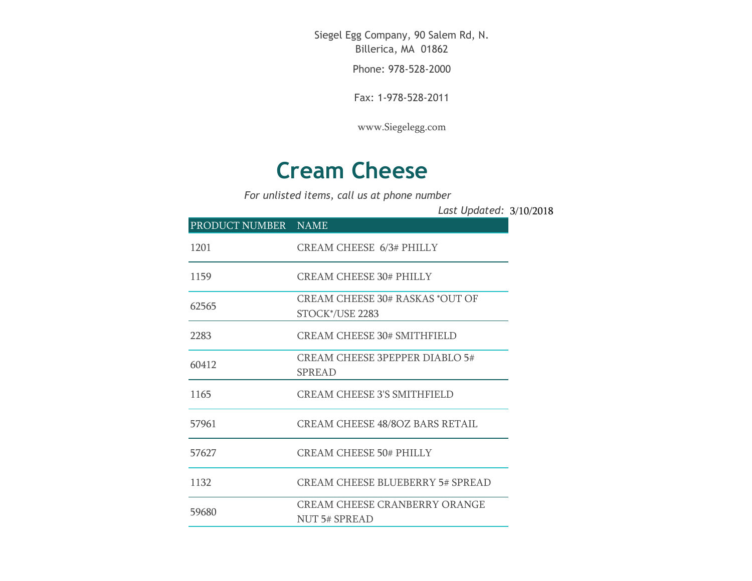Siegel Egg Company, 90 Salem Rd, N. Billerica, MA 01862

Phone: 978-528-2000

Fax: 1-978-528-2011

[www.Siegelegg.com](http://www.siegelegg.com/)

## **Cream Cheese**

*For unlisted items, call us at phone number*

3/10/2018 *Last Updated:*

| PRODUCT NUMBER NAME |                                                           |
|---------------------|-----------------------------------------------------------|
| 1201                | <b>CREAM CHEESE 6/3# PHILLY</b>                           |
| 1159                | <b>CREAM CHEESE 30# PHILLY</b>                            |
| 62565               | <b>CREAM CHEESE 30# RASKAS *OUT OF</b><br>STOCK*/USE 2283 |
| 2283                | CREAM CHEESE 30# SMITHFIELD                               |
| 60412               | <b>CREAM CHEESE 3PEPPER DIABLO 5#</b><br><b>SPREAD</b>    |
| 1165                | CREAM CHEESE 3'S SMITHFIELD                               |
| 57961               | <b>CREAM CHEESE 48/8OZ BARS RETAIL</b>                    |
| 57627               | <b>CREAM CHEESE 50# PHILLY</b>                            |
| 1132                | <b>CREAM CHEESE BLUEBERRY 5# SPREAD</b>                   |
| 59680               | <b>CREAM CHEESE CRANBERRY ORANGE</b><br>NUT 5# SPREAD     |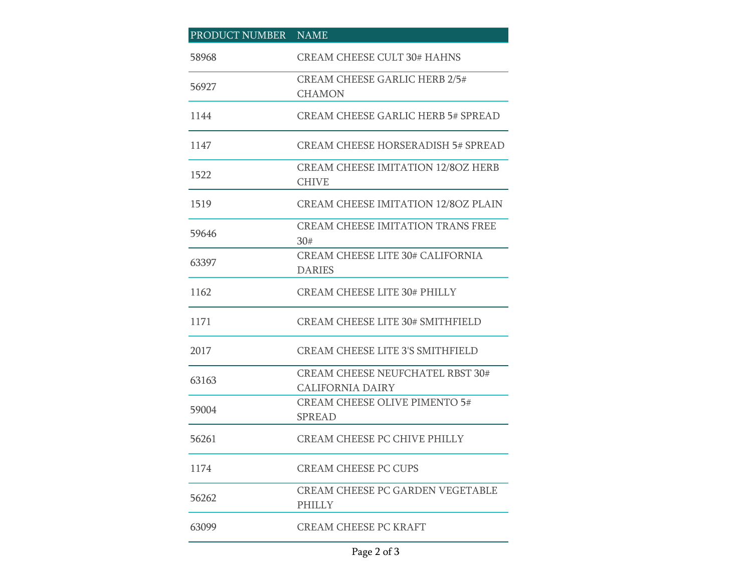| PRODUCT NUMBER | <b>NAME</b>                                                        |
|----------------|--------------------------------------------------------------------|
| 58968          | <b>CREAM CHEESE CULT 30# HAHNS</b>                                 |
| 56927          | <b>CREAM CHEESE GARLIC HERB 2/5#</b><br><b>CHAMON</b>              |
| 1144           | <b>CREAM CHEESE GARLIC HERB 5# SPREAD</b>                          |
| 1147           | CREAM CHEESE HORSERADISH 5# SPREAD                                 |
| 1522           | <b>CREAM CHEESE IMITATION 12/8OZ HERB</b><br><b>CHIVE</b>          |
| 1519           | <b>CREAM CHEESE IMITATION 12/8OZ PLAIN</b>                         |
| 59646          | <b>CREAM CHEESE IMITATION TRANS FREE</b><br>30#                    |
| 63397          | <b>CREAM CHEESE LITE 30# CALIFORNIA</b><br><b>DARIES</b>           |
| 1162           | <b>CREAM CHEESE LITE 30# PHILLY</b>                                |
| 1171           | <b>CREAM CHEESE LITE 30# SMITHFIELD</b>                            |
| 2017           | <b>CREAM CHEESE LITE 3'S SMITHFIELD</b>                            |
| 63163          | <b>CREAM CHEESE NEUFCHATEL RBST 30#</b><br><b>CALIFORNIA DAIRY</b> |
| 59004          | <b>CREAM CHEESE OLIVE PIMENTO 5#</b><br><b>SPREAD</b>              |
| 56261          | <b>CREAM CHEESE PC CHIVE PHILLY</b>                                |
| 1174           | <b>CREAM CHEESE PC CUPS</b>                                        |
| 56262          | <b>CREAM CHEESE PC GARDEN VEGETABLE</b><br><b>PHILLY</b>           |
| 63099          | <b>CREAM CHEESE PC KRAFT</b>                                       |